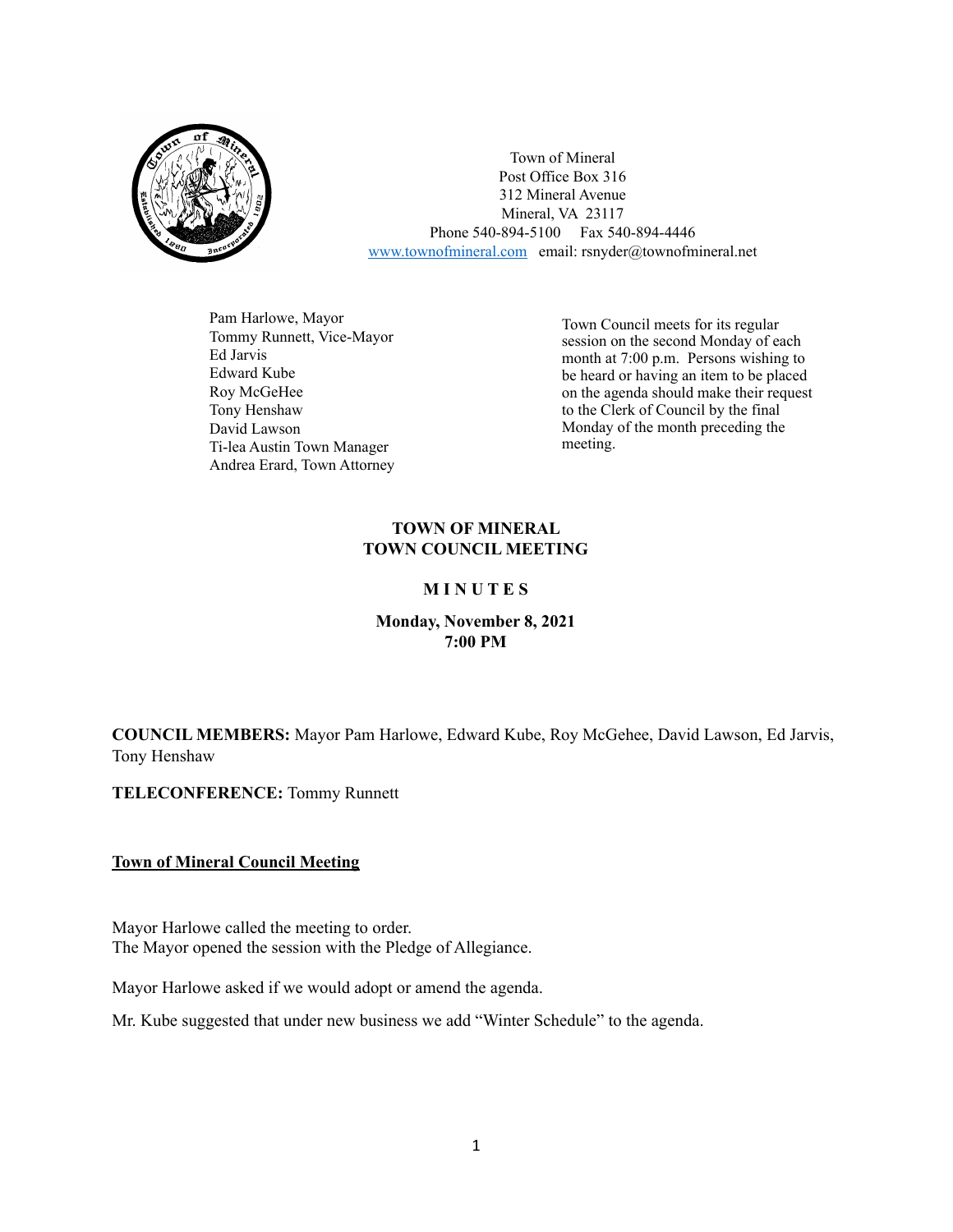

Town of Mineral Post Office Box 316 312 Mineral Avenue Mineral, VA 23117 Phone 540-894-5100 Fax 540-894-4446 [www.townofmineral.com](http://www.townofmineral.com) email: rsnyder@townofmineral.net

Pam Harlowe, Mayor Tommy Runnett, Vice-Mayor Ed Jarvis Edward Kube Roy McGeHee Tony Henshaw David Lawson Ti-lea Austin Town Manager Andrea Erard, Town Attorney

Town Council meets for its regular session on the second Monday of each month at 7:00 p.m. Persons wishing to be heard or having an item to be placed on the agenda should make their request to the Clerk of Council by the final Monday of the month preceding the meeting.

# **TOWN OF MINERAL TOWN COUNCIL MEETING**

# **M I N U T E S**

# **Monday, November 8, 2021 7:00 PM**

**COUNCIL MEMBERS:** Mayor Pam Harlowe, Edward Kube, Roy McGehee, David Lawson, Ed Jarvis, Tony Henshaw

**TELECONFERENCE:** Tommy Runnett

# **Town of Mineral Council Meeting**

Mayor Harlowe called the meeting to order. The Mayor opened the session with the Pledge of Allegiance.

Mayor Harlowe asked if we would adopt or amend the agenda.

Mr. Kube suggested that under new business we add "Winter Schedule" to the agenda.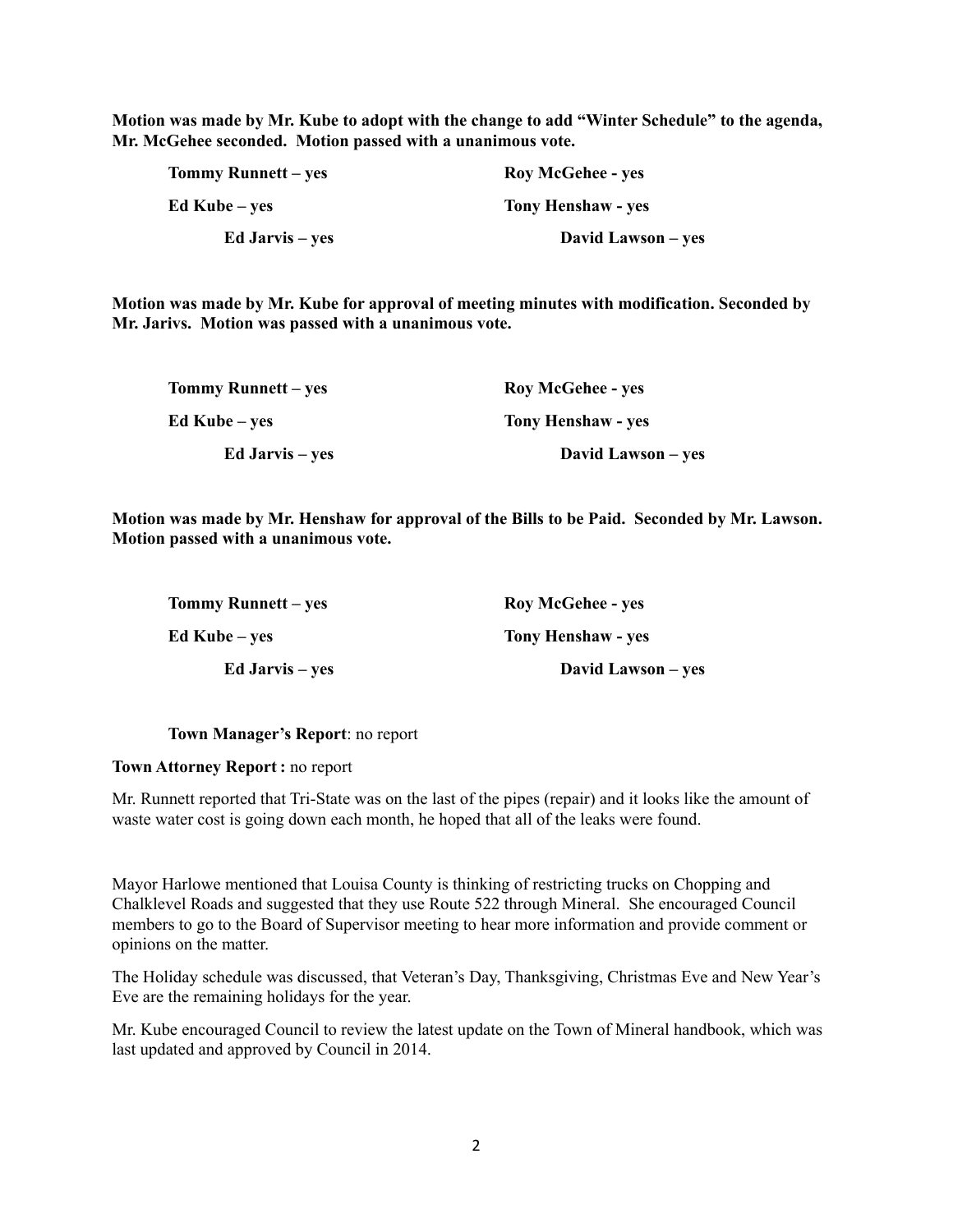**Motion was made by Mr. Kube to adopt with the change to add "Winter Schedule" to the agenda, Mr. McGehee seconded. Motion passed with a unanimous vote.**

| <b>Tommy Runnett – yes</b> | <b>Roy McGehee - yes</b>  |
|----------------------------|---------------------------|
| Ed Kube – yes              | <b>Tony Henshaw - yes</b> |
| <b>Ed Jarvis</b> – yes     | David Lawson – yes        |

**Motion was made by Mr. Kube for approval of meeting minutes with modification. Seconded by Mr. Jarivs. Motion was passed with a unanimous vote.**

| Tommy Runnett – yes    | <b>Roy McGehee - yes</b>  |
|------------------------|---------------------------|
| Ed Kube – ves          | <b>Tony Henshaw - yes</b> |
| <b>Ed Jarvis</b> – yes | David Lawson – yes        |

**Motion was made by Mr. Henshaw for approval of the Bills to be Paid. Seconded by Mr. Lawson. Motion passed with a unanimous vote.**

| <b>Tommy Runnett</b> – yes | <b>Roy McGehee - yes</b>  |
|----------------------------|---------------------------|
| Ed Kube – yes              | <b>Tony Henshaw - yes</b> |
| <b>Ed Jarvis</b> – yes     | David Lawson – yes        |

**Town Manager's Report**: no report

#### **Town Attorney Report :** no report

Mr. Runnett reported that Tri-State was on the last of the pipes (repair) and it looks like the amount of waste water cost is going down each month, he hoped that all of the leaks were found.

Mayor Harlowe mentioned that Louisa County is thinking of restricting trucks on Chopping and Chalklevel Roads and suggested that they use Route 522 through Mineral. She encouraged Council members to go to the Board of Supervisor meeting to hear more information and provide comment or opinions on the matter.

The Holiday schedule was discussed, that Veteran's Day, Thanksgiving, Christmas Eve and New Year's Eve are the remaining holidays for the year.

Mr. Kube encouraged Council to review the latest update on the Town of Mineral handbook, which was last updated and approved by Council in 2014.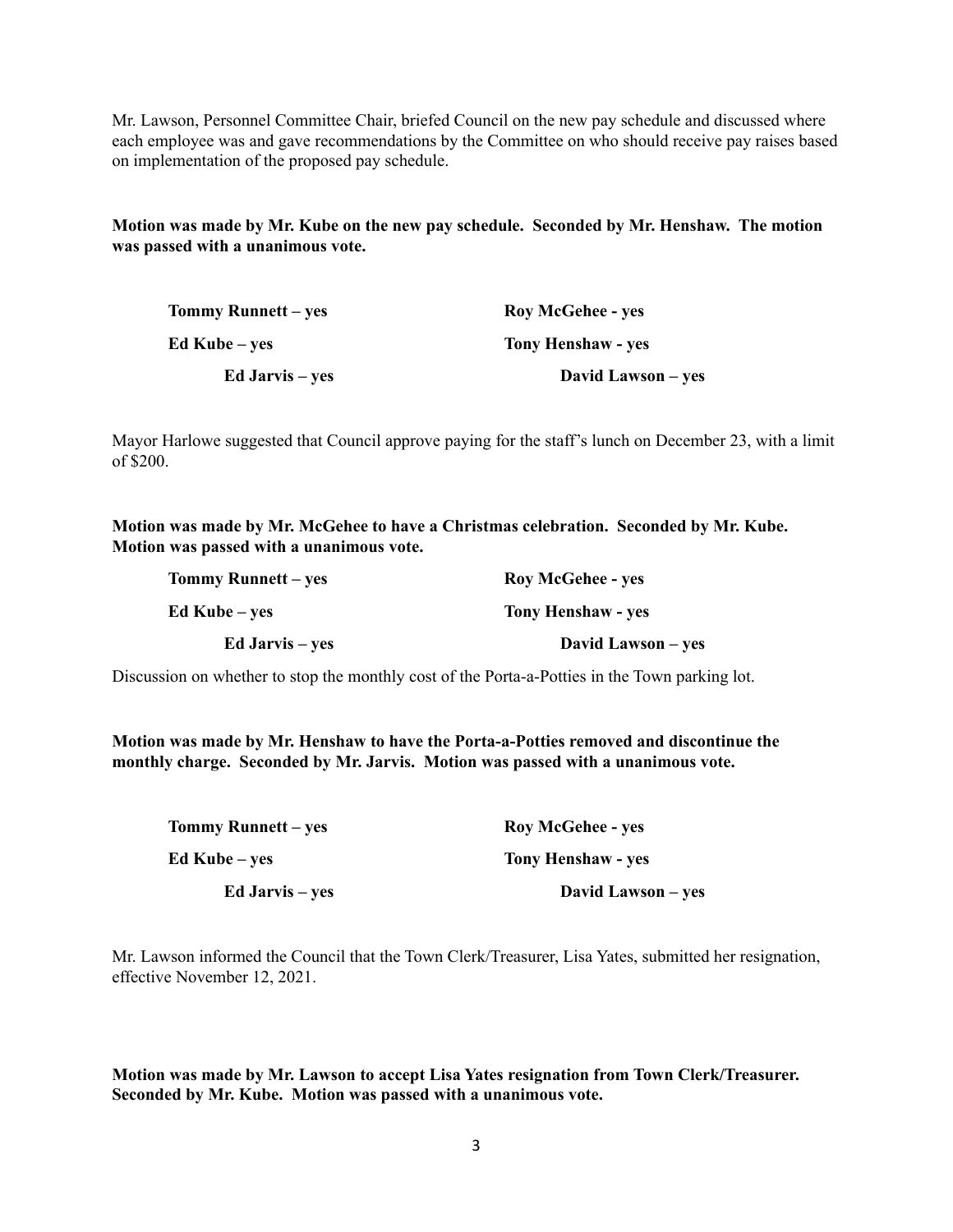Mr. Lawson, Personnel Committee Chair, briefed Council on the new pay schedule and discussed where each employee was and gave recommendations by the Committee on who should receive pay raises based on implementation of the proposed pay schedule.

**Motion was made by Mr. Kube on the new pay schedule. Seconded by Mr. Henshaw. The motion was passed with a unanimous vote.**

| Tommy Runnett – yes    | <b>Roy McGehee - yes</b> |
|------------------------|--------------------------|
| Ed Kube – ves          | Tony Henshaw - yes       |
| <b>Ed Jarvis</b> – yes | David Lawson – yes       |

Mayor Harlowe suggested that Council approve paying for the staff's lunch on December 23, with a limit of \$200.

**Motion was made by Mr. McGehee to have a Christmas celebration. Seconded by Mr. Kube. Motion was passed with a unanimous vote.**

| Tommy Runnett – yes    | <b>Roy McGehee - yes</b>  |
|------------------------|---------------------------|
| Ed Kube – yes          | <b>Tony Henshaw - yes</b> |
| <b>Ed Jarvis</b> – yes | David Lawson – yes        |

Discussion on whether to stop the monthly cost of the Porta-a-Potties in the Town parking lot.

**Motion was made by Mr. Henshaw to have the Porta-a-Potties removed and discontinue the monthly charge. Seconded by Mr. Jarvis. Motion was passed with a unanimous vote.**

| Tommy Runnett – yes    | <b>Roy McGehee - yes</b>  |
|------------------------|---------------------------|
| Ed Kube – ves          | <b>Tony Henshaw - yes</b> |
| <b>Ed Jarvis</b> – yes | David Lawson – yes        |

Mr. Lawson informed the Council that the Town Clerk/Treasurer, Lisa Yates, submitted her resignation, effective November 12, 2021.

**Motion was made by Mr. Lawson to accept Lisa Yates resignation from Town Clerk/Treasurer. Seconded by Mr. Kube. Motion was passed with a unanimous vote.**